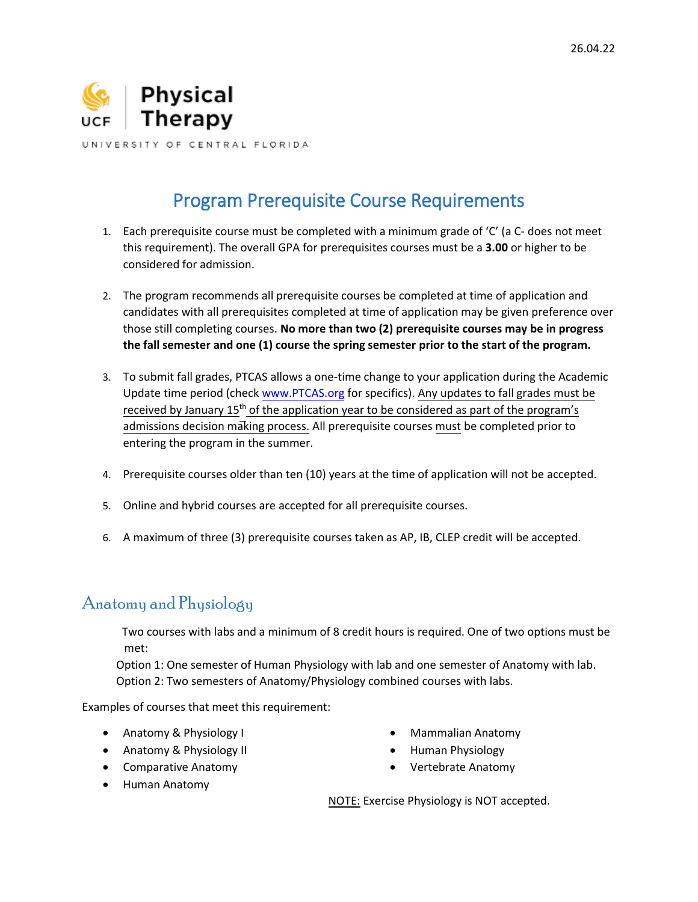

# Program Prerequisite Course Requirements

- 1. Each prerequisite course must be completed with a minimum grade of 'C' (a C- does not meet this requirement). The overall GPA for prerequisites courses must be a **3.00** or higher to be considered for admission.
- 2. The program recommends all prerequisite courses be completed at time of application and candidates with all prerequisites completed at time of application may be given preference over those still completing courses. **No more than two (2) prerequisite courses may be in progress the fall semester and one (1) course the spring semester prior to the start of the program.**
- 3. To submit fall grades, PTCAS allows a one-time change to your application during the Academic Update time period (chec[k www.PTCAS.org](http://www.ptcas.org/) for specifics). Any updates to fall grades must be received by January  $15<sup>th</sup>$  of the application year to be considered as part of the program's admissions decision making process. All prerequisite courses must be completed prior to entering the program in the summer.
- 4. Prerequisite courses older than ten (10) years at the time of application will not be accepted.
- 5. Online and hybrid courses are accepted for all prerequisite courses.
- 6. A maximum of three (3) prerequisite courses taken as AP, IB, CLEP credit will be accepted.

## Anatomy and Physiology

met: Two courses with labs and a minimum of 8 credit hours is required. One of two options must be

Option 1: One semester of Human Physiology with lab and one semester of Anatomy with lab. Option 2: Two semesters of Anatomy/Physiology combined courses with labs.

Examples of courses that meet this requirement:

- Anatomy & Physiology I
- Anatomy & Physiology II
- Comparative Anatomy
- **•** Human Anatomy
- Mammalian Anatomy
- Human Physiology
- Vertebrate Anatomy

NOTE: Exercise Physiology is NOT accepted.